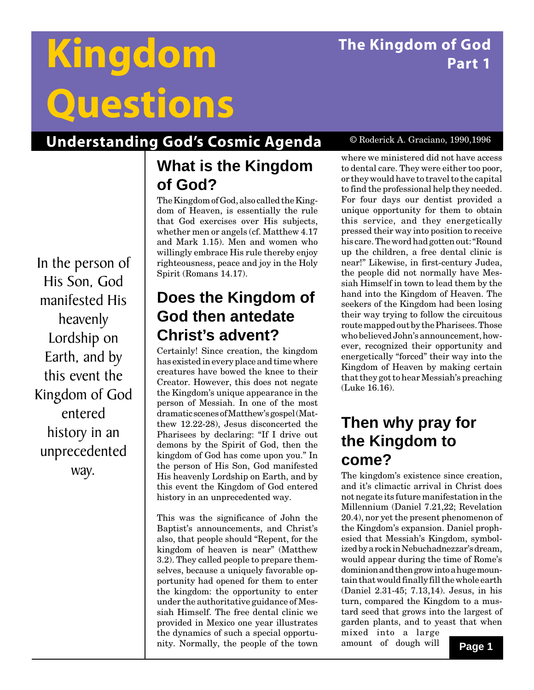# **The Kingdom of God Part 1**

# **Kingdom Questions**

# **Understanding God's Cosmic Agenda**

## **What is the Kingdom of God?**

The Kingdom of God, also called the Kingdom of Heaven, is essentially the rule that God exercises over His subjects, whether men or angels (cf. Matthew 4.17 and Mark 1.15). Men and women who willingly embrace His rule thereby enjoy righteousness, peace and joy in the Holy Spirit (Romans 14.17).

## **Does the Kingdom of God then antedate Christ's advent?**

Certainly! Since creation, the kingdom has existed in every place and time where creatures have bowed the knee to their Creator. However, this does not negate the Kingdom's unique appearance in the person of Messiah. In one of the most dramatic scenes of Matthew's gospel (Matthew 12.22-28), Jesus disconcerted the Pharisees by declaring: "If I drive out demons by the Spirit of God, then the kingdom of God has come upon you." In the person of His Son, God manifested His heavenly Lordship on Earth, and by this event the Kingdom of God entered history in an unprecedented way.

This was the significance of John the Baptist's announcements, and Christ's also, that people should "Repent, for the kingdom of heaven is near" (Matthew 3.2). They called people to prepare themselves, because a uniquely favorable opportunity had opened for them to enter the kingdom: the opportunity to enter under the authoritative guidance of Messiah Himself. The free dental clinic we provided in Mexico one year illustrates the dynamics of such a special opportunity. Normally, the people of the town

#### © Roderick A. Graciano, 1990,1996

where we ministered did not have access to dental care. They were either too poor, or they would have to travel to the capital to find the professional help they needed. For four days our dentist provided a unique opportunity for them to obtain this service, and they energetically pressed their way into position to receive his care. The word had gotten out: "Round up the children, a free dental clinic is near!" Likewise, in first-century Judea, the people did not normally have Messiah Himself in town to lead them by the hand into the Kingdom of Heaven. The seekers of the Kingdom had been losing their way trying to follow the circuitous route mapped out by the Pharisees. Those who believed John's announcement, however, recognized their opportunity and energetically "forced" their way into the Kingdom of Heaven by making certain that they got to hear Messiah's preaching (Luke 16.16).

## **Then why pray for the Kingdom to come?**

The kingdom's existence since creation, and it's climactic arrival in Christ does not negate its future manifestation in the Millennium (Daniel 7.21,22; Revelation 20.4), nor yet the present phenomenon of the Kingdom's expansion. Daniel prophesied that Messiah's Kingdom, symbolized by a rock in Nebuchadnezzar's dream, would appear during the time of Rome's dominion and then grow into a huge mountain that would finally fill the whole earth (Daniel 2.31-45; 7.13,14). Jesus, in his turn, compared the Kingdom to a mustard seed that grows into the largest of garden plants, and to yeast that when mixed into a large

amount of dough will

In the person of His Son, God manifested His heavenly Lordship on Earth, and by this event the Kingdom of God entered history in an unprecedented way.

**Page 1**